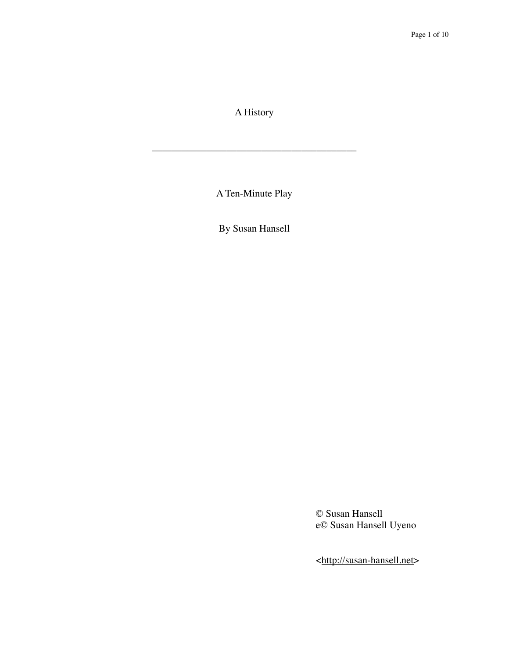A History

\_\_\_\_\_\_\_\_\_\_\_\_\_\_\_\_\_\_\_\_\_\_\_\_\_\_\_\_\_\_\_\_\_\_\_\_\_\_\_\_\_

A Ten-Minute Play

By Susan Hansell

© Susan Hansell e© Susan Hansell Uyeno

<[http://susan-hansell.net>](http://susan-hansell.net)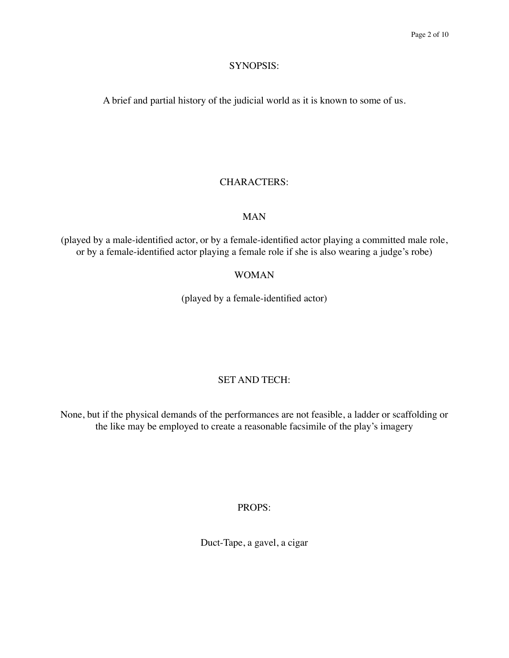#### SYNOPSIS:

A brief and partial history of the judicial world as it is known to some of us.

#### CHARACTERS:

#### MAN

(played by a male-identified actor, or by a female-identified actor playing a committed male role, or by a female-identified actor playing a female role if she is also wearing a judge's robe)

#### WOMAN

(played by a female-identified actor)

### SET AND TECH:

None, but if the physical demands of the performances are not feasible, a ladder or scaffolding or the like may be employed to create a reasonable facsimile of the play's imagery

#### PROPS:

Duct-Tape, a gavel, a cigar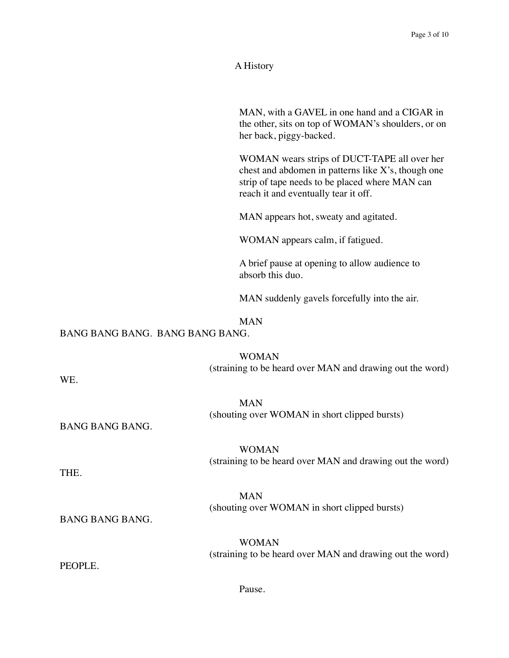#### A History

MAN, with a GAVEL in one hand and a CIGAR in the other, sits on top of WOMAN's shoulders, or on her back, piggy-backed.

WOMAN wears strips of DUCT-TAPE all over her chest and abdomen in patterns like X's, though one strip of tape needs to be placed where MAN can reach it and eventually tear it off.

MAN appears hot, sweaty and agitated.

WOMAN appears calm, if fatigued.

A brief pause at opening to allow audience to absorb this duo.

MAN suddenly gavels forcefully into the air.

#### MAN

#### BANG BANG BANG. BANG BANG BANG.

WOMAN (straining to be heard over MAN and drawing out the word)

WE.

MAN (shouting over WOMAN in short clipped bursts)

BANG BANG BANG.

WOMAN (straining to be heard over MAN and drawing out the word)

THE.

MAN (shouting over WOMAN in short clipped bursts)

BANG BANG BANG.

WOMAN (straining to be heard over MAN and drawing out the word)

PEOPLE.

Pause.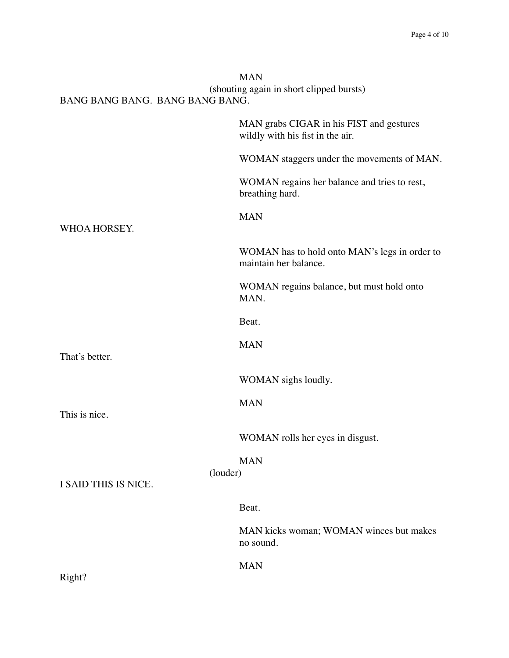| BANG BANG BANG. BANG BANG BANG.  | <b>MAN</b><br>(shouting again in short clipped bursts)                       |
|----------------------------------|------------------------------------------------------------------------------|
| WHOA HORSEY.                     | MAN grabs CIGAR in his FIST and gestures<br>wildly with his fist in the air. |
|                                  | WOMAN staggers under the movements of MAN.                                   |
|                                  | WOMAN regains her balance and tries to rest,<br>breathing hard.              |
|                                  | <b>MAN</b>                                                                   |
|                                  | WOMAN has to hold onto MAN's legs in order to<br>maintain her balance.       |
|                                  | WOMAN regains balance, but must hold onto<br>MAN.                            |
|                                  | Beat.                                                                        |
| That's better.                   | <b>MAN</b>                                                                   |
|                                  | WOMAN sighs loudly.                                                          |
| This is nice.                    | <b>MAN</b>                                                                   |
|                                  | WOMAN rolls her eyes in disgust.                                             |
| (louder)<br>I SAID THIS IS NICE. | <b>MAN</b>                                                                   |
|                                  | Beat.                                                                        |
|                                  | MAN kicks woman; WOMAN winces but makes<br>no sound.                         |
| Right?                           | <b>MAN</b>                                                                   |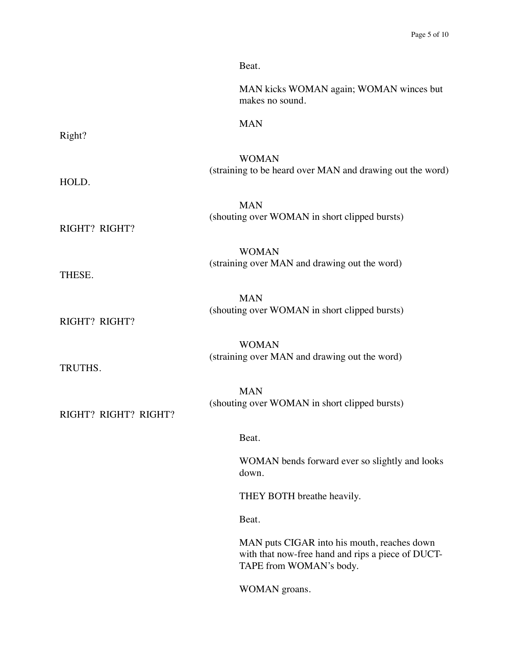|                      | Beat.                                                                                                                       |
|----------------------|-----------------------------------------------------------------------------------------------------------------------------|
|                      | MAN kicks WOMAN again; WOMAN winces but<br>makes no sound.                                                                  |
| Right?               | <b>MAN</b>                                                                                                                  |
|                      |                                                                                                                             |
| HOLD.                | <b>WOMAN</b><br>(straining to be heard over MAN and drawing out the word)                                                   |
|                      | <b>MAN</b>                                                                                                                  |
| RIGHT? RIGHT?        | (shouting over WOMAN in short clipped bursts)                                                                               |
|                      | <b>WOMAN</b>                                                                                                                |
| THESE.               | (straining over MAN and drawing out the word)                                                                               |
|                      | <b>MAN</b>                                                                                                                  |
| RIGHT? RIGHT?        | (shouting over WOMAN in short clipped bursts)                                                                               |
|                      | <b>WOMAN</b>                                                                                                                |
| TRUTHS.              | (straining over MAN and drawing out the word)                                                                               |
|                      | <b>MAN</b>                                                                                                                  |
| RIGHT? RIGHT? RIGHT? | (shouting over WOMAN in short clipped bursts)                                                                               |
|                      | Beat.                                                                                                                       |
|                      | WOMAN bends forward ever so slightly and looks<br>down.                                                                     |
|                      | THEY BOTH breathe heavily.                                                                                                  |
|                      | Beat.                                                                                                                       |
|                      | MAN puts CIGAR into his mouth, reaches down<br>with that now-free hand and rips a piece of DUCT-<br>TAPE from WOMAN's body. |
|                      | WOMAN groans.                                                                                                               |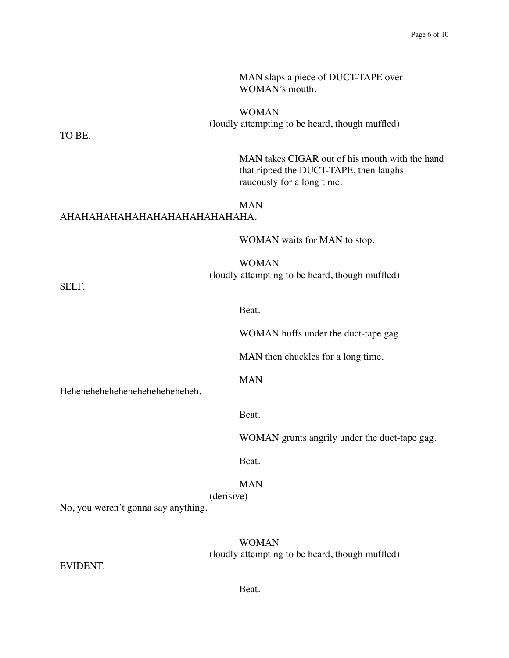|                                     | MAN slaps a piece of DUCT-TAPE over<br>WOMAN's mouth.                                                                  |
|-------------------------------------|------------------------------------------------------------------------------------------------------------------------|
|                                     | <b>WOMAN</b>                                                                                                           |
| TO BE.                              | (loudly attempting to be heard, though muffled)                                                                        |
|                                     | MAN takes CIGAR out of his mouth with the hand<br>that ripped the DUCT-TAPE, then laughs<br>raucously for a long time. |
| АНАНАНАНАНАНАНАНАНАНАНАНА.          | <b>MAN</b>                                                                                                             |
|                                     | WOMAN waits for MAN to stop.                                                                                           |
| SELF.                               | <b>WOMAN</b><br>(loudly attempting to be heard, though muffled)                                                        |
|                                     | Beat.                                                                                                                  |
|                                     | WOMAN huffs under the duct-tape gag.                                                                                   |
| Heheheheheheheheheheheheh.          | MAN then chuckles for a long time.                                                                                     |
|                                     | <b>MAN</b>                                                                                                             |
|                                     | Beat.                                                                                                                  |
|                                     | WOMAN grunts angrily under the duct-tape gag.                                                                          |
|                                     | Beat.                                                                                                                  |
| No, you weren't gonna say anything. | <b>MAN</b><br>(derisive)                                                                                               |
|                                     | <b>WOMAN</b><br>(loudly attempting to be heard, though muffled)                                                        |

EVIDENT.

Beat.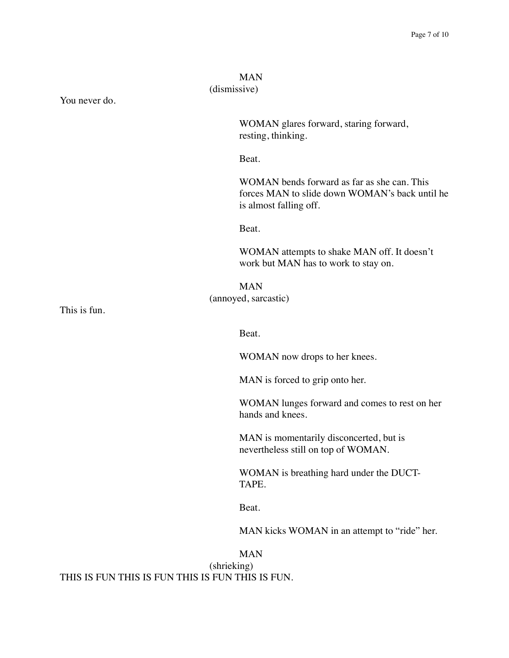# MAN (dismissive) You never do. WOMAN glares forward, staring forward, resting, thinking. Beat. WOMAN bends forward as far as she can. This forces MAN to slide down WOMAN's back until he is almost falling off. Beat. WOMAN attempts to shake MAN off. It doesn't work but MAN has to work to stay on. MAN (annoyed, sarcastic) This is fun. Beat. WOMAN now drops to her knees. MAN is forced to grip onto her. WOMAN lunges forward and comes to rest on her hands and knees. MAN is momentarily disconcerted, but is nevertheless still on top of WOMAN. WOMAN is breathing hard under the DUCT-TAPE. Beat. MAN kicks WOMAN in an attempt to "ride" her. MAN (shrieking)

THIS IS FUN THIS IS FUN THIS IS FUN THIS IS FUN.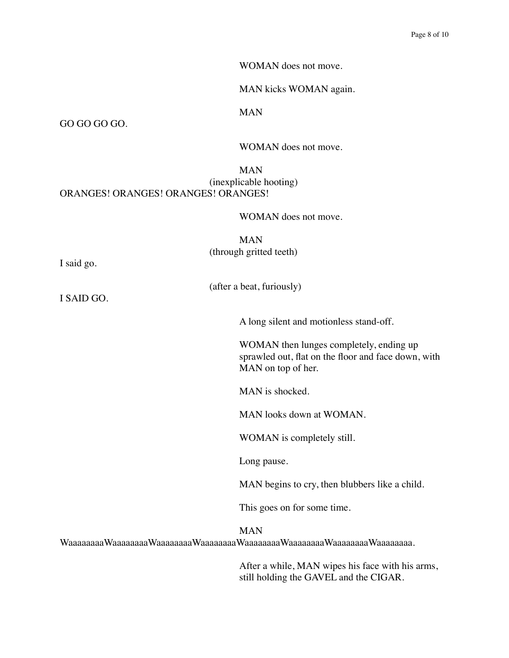WOMAN does not move.

MAN kicks WOMAN again.

MAN

GO GO GO GO.

WOMAN does not move.

#### MAN (inexplicable hooting) ORANGES! ORANGES! ORANGES! ORANGES!

WOMAN does not move.

MAN (through gritted teeth)

(after a beat, furiously)

I said go.

I SAID GO.

A long silent and motionless stand-off.

WOMAN then lunges completely, ending up sprawled out, flat on the floor and face down, with MAN on top of her.

MAN is shocked.

MAN looks down at WOMAN.

WOMAN is completely still.

Long pause.

MAN begins to cry, then blubbers like a child.

This goes on for some time.

MAN

WaaaaaaaaWaaaaaaaaWaaaaaaaaWaaaaaaaaWaaaaaaaaWaaaaaaaaWaaaaaaaaWaaaaaaaa.

After a while, MAN wipes his face with his arms, still holding the GAVEL and the CIGAR.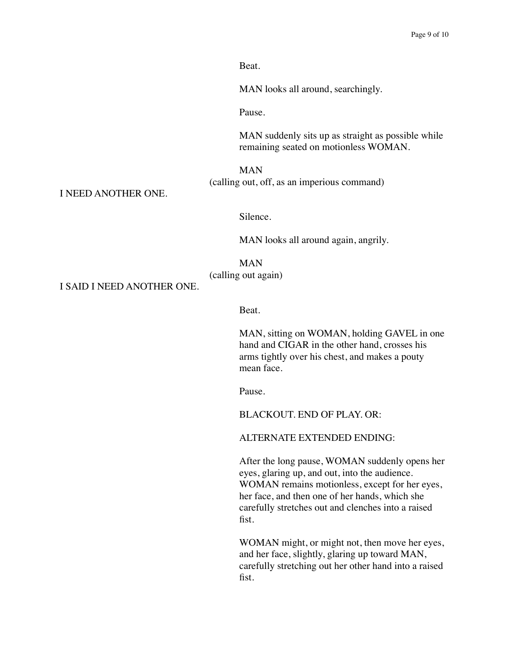Beat.

MAN looks all around, searchingly.

Pause.

MAN suddenly sits up as straight as possible while remaining seated on motionless WOMAN.

MAN (calling out, off, as an imperious command)

I NEED ANOTHER ONE.

Silence.

MAN looks all around again, angrily.

MAN (calling out again)

I SAID I NEED ANOTHER ONE.

Beat.

MAN, sitting on WOMAN, holding GAVEL in one hand and CIGAR in the other hand, crosses his arms tightly over his chest, and makes a pouty mean face.

Pause.

BLACKOUT. END OF PLAY. OR:

ALTERNATE EXTENDED ENDING:

After the long pause, WOMAN suddenly opens her eyes, glaring up, and out, into the audience. WOMAN remains motionless, except for her eyes, her face, and then one of her hands, which she carefully stretches out and clenches into a raised fist.

WOMAN might, or might not, then move her eyes, and her face, slightly, glaring up toward MAN, carefully stretching out her other hand into a raised fist.